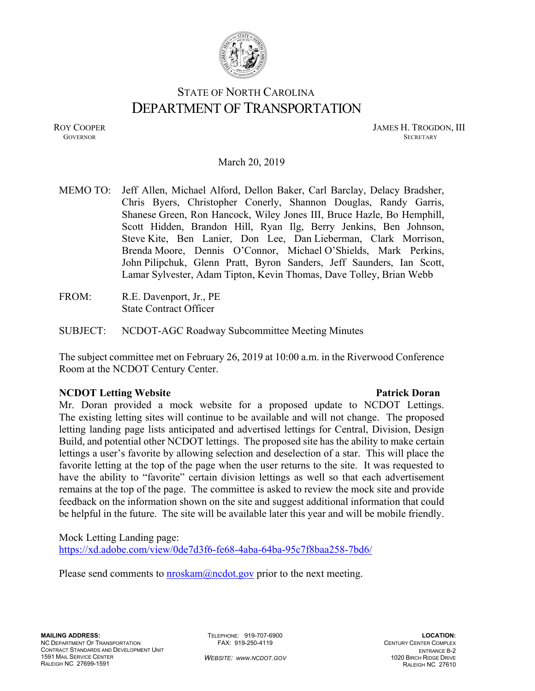

# STATE OF NORTH CAROLINA DEPARTMENT OF TRANSPORTATION

ROY COOPER JAMES H. TROGDON, III **GOVERNOR SECRETARY** SECRETARY

### March 20, 2019

MEMO TO: Jeff Allen, Michael Alford, Dellon Baker, Carl Barclay, Delacy Bradsher, Chris Byers, Christopher Conerly, Shannon Douglas, Randy Garris, Shanese Green, Ron Hancock, Wiley Jones III, Bruce Hazle, Bo Hemphill, Scott Hidden, Brandon Hill, Ryan Ilg, Berry Jenkins, Ben Johnson, Steve Kite, Ben Lanier, Don Lee, Dan Lieberman, Clark Morrison, Brenda Moore, Dennis O'Connor, Michael O'Shields, Mark Perkins, John Pilipchuk, Glenn Pratt, Byron Sanders, Jeff Saunders, Ian Scott, Lamar Sylvester, Adam Tipton, Kevin Thomas, Dave Tolley, Brian Webb

FROM: R.E. Davenport, Jr., PE State Contract Officer

SUBJECT: NCDOT-AGC Roadway Subcommittee Meeting Minutes

The subject committee met on February 26, 2019 at 10:00 a.m. in the Riverwood Conference Room at the NCDOT Century Center.

### **NCDOT Letting Website**  Patrick Doran **Patrick Doran Patrick Doran**

Mr. Doran provided a mock website for a proposed update to NCDOT Lettings. The existing letting sites will continue to be available and will not change. The proposed letting landing page lists anticipated and advertised lettings for Central, Division, Design Build, and potential other NCDOT lettings. The proposed site has the ability to make certain lettings a user's favorite by allowing selection and deselection of a star. This will place the favorite letting at the top of the page when the user returns to the site. It was requested to have the ability to "favorite" certain division lettings as well so that each advertisement remains at the top of the page. The committee is asked to review the mock site and provide feedback on the information shown on the site and suggest additional information that could be helpful in the future. The site will be available later this year and will be mobile friendly.

Mock Letting Landing page: https://xd.adobe.com/view/0de7d3f6-fe68-4aba-64ba-95c7f8baa258-7bd6/

Please send comments to  $\frac{\text{m} \cdot \text{m}}{\text{m} \cdot \text{m}}$  (*n*)  $\frac{\text{m} \cdot \text{m}}{\text{m} \cdot \text{m}}$  (*n*)  $\frac{\text{m} \cdot \text{m}}{\text{m} \cdot \text{m}}$  (*n*)  $\frac{\text{m} \cdot \text{m}}{\text{m} \cdot \text{m}}$  (*n*)  $\frac{\text{m} \cdot \text{m}}{\text{m} \cdot \text{m}}$  (*n*)  $\frac{\text{m} \cdot \text{m}}{\text{m} \cdot$ 

TELEPHONE: 919-707-6900 FAX: 919-250-4119

*WEBSITE: WWW.NCDOT.GOV*

**LOCATION:**  CENTURY CENTER COMPLEX ENTRANCE B-2 1020 BIRCH RIDGE DRIVE RALEIGH NC 27610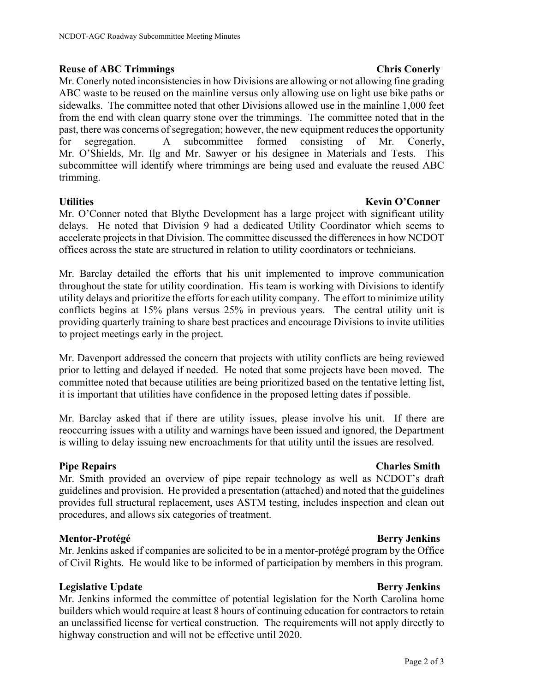## **Reuse of ABC Trimmings Chris Conerly Chris Conerly Chris Conerly 2006**

Mr. Conerly noted inconsistencies in how Divisions are allowing or not allowing fine grading ABC waste to be reused on the mainline versus only allowing use on light use bike paths or sidewalks. The committee noted that other Divisions allowed use in the mainline 1,000 feet from the end with clean quarry stone over the trimmings. The committee noted that in the past, there was concerns of segregation; however, the new equipment reduces the opportunity for segregation. A subcommittee formed consisting of Mr. Conerly, Mr. O'Shields, Mr. Ilg and Mr. Sawyer or his designee in Materials and Tests. This subcommittee will identify where trimmings are being used and evaluate the reused ABC trimming.

# **Utilities Kevin O'Conner International Conner International Conner International Conner International Conner**

Mr. O'Conner noted that Blythe Development has a large project with significant utility delays. He noted that Division 9 had a dedicated Utility Coordinator which seems to accelerate projects in that Division. The committee discussed the differences in how NCDOT offices across the state are structured in relation to utility coordinators or technicians.

Mr. Barclay detailed the efforts that his unit implemented to improve communication throughout the state for utility coordination. His team is working with Divisions to identify utility delays and prioritize the efforts for each utility company. The effort to minimize utility conflicts begins at 15% plans versus 25% in previous years. The central utility unit is providing quarterly training to share best practices and encourage Divisions to invite utilities to project meetings early in the project.

Mr. Davenport addressed the concern that projects with utility conflicts are being reviewed prior to letting and delayed if needed. He noted that some projects have been moved. The committee noted that because utilities are being prioritized based on the tentative letting list, it is important that utilities have confidence in the proposed letting dates if possible.

Mr. Barclay asked that if there are utility issues, please involve his unit. If there are reoccurring issues with a utility and warnings have been issued and ignored, the Department is willing to delay issuing new encroachments for that utility until the issues are resolved.

Mr. Smith provided an overview of pipe repair technology as well as NCDOT's draft guidelines and provision. He provided a presentation (attached) and noted that the guidelines provides full structural replacement, uses ASTM testing, includes inspection and clean out procedures, and allows six categories of treatment.

### **Mentor-Protégé Berry Jenkins**

Mr. Jenkins asked if companies are solicited to be in a mentor-protégé program by the Office of Civil Rights. He would like to be informed of participation by members in this program.

# **Legislative Update** Berry Jenkins **Berry Jenkins Berry Jenkins**

Mr. Jenkins informed the committee of potential legislation for the North Carolina home builders which would require at least 8 hours of continuing education for contractors to retain an unclassified license for vertical construction. The requirements will not apply directly to highway construction and will not be effective until 2020.

# **Pipe Repairs Charles Smith Charles Smith**